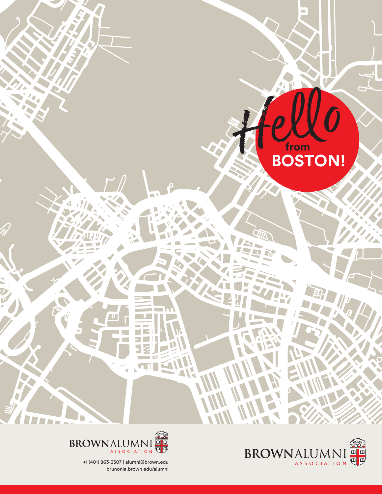





+1 (401) 863-3307 | alumni@brown.edu brunonia.brown.edu/alumni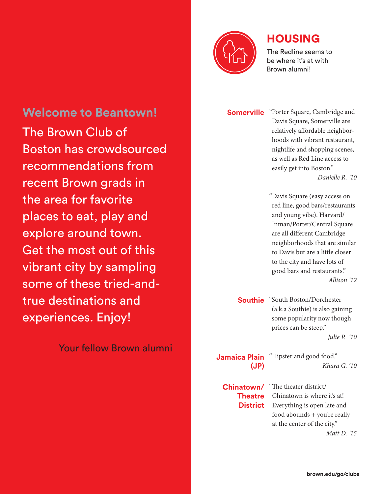

### HOUSING

The Redline seems to be where it's at with Brown alumni!

**Somerville** <sup>"</sup>Porter Square, Cambridge and Davis Square, Somerville are relatively affordable neighborhoods with vibrant restaurant, nightlife and shopping scenes, as well as Red Line access to easily get into Boston." *Danielle R. '10*

> "Davis Square (easy access on red line, good bars/restaurants

and young vibe). Harvard/ Inman/Porter/Central Square are all different Cambridge neighborhoods that are similar to Davis but are a little closer to the city and have lots of good bars and restaurants." *Allison '12*

**Southie** "South Boston/Dorchester (a.k.a Southie) is also gaining some popularity now though prices can be steep." *Julie P. '10*

**Jamaica Plain (JP)** "Hipster and good food."

**Chinatown/ Theatre District** "The theater district/ Chinatown is where it's at! Everything is open late and food abounds + you're really at the center of the city." *Matt D. '15*

**Welcome to Beantown!** The Brown Club of Boston has crowdsourced recommendations from recent Brown grads in the area for favorite places to eat, play and explore around town. Get the most out of this vibrant city by sampling some of these tried-andtrue destinations and experiences. Enjoy!

Your fellow Brown alumni

*Khara G. '10*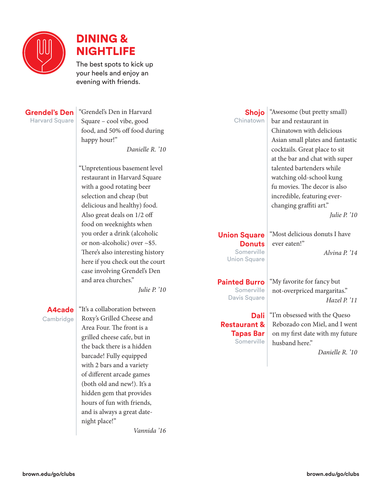



The best spots to kick up your heels and enjoy an evening with friends.

#### **Grendel's Den Harvard Square**

"Grendel's Den in Harvard Square – cool vibe, good food, and 50% off food during happy hour!" *Danielle R. '10*

"Unpretentious basement level restaurant in Harvard Square with a good rotating beer selection and cheap (but delicious and healthy) food. Also great deals on 1/2 off food on weeknights when you order a drink (alcoholic or non-alcoholic) over ~\$5. There's also interesting history here if you check out the court case involving Grendel's Den and area churches."

*Julie P. '10*

#### **A4cade** Cambridge

"It's a collaboration between Roxy's Grilled Cheese and Area Four. The front is a grilled cheese cafe, but in the back there is a hidden barcade! Fully equipped with 2 bars and a variety of different arcade games (both old and new!). It's a hidden gem that provides hours of fun with friends, and is always a great datenight place!"

*Vannida '16*

| Shojo     |  |
|-----------|--|
| Chinatown |  |

"Awesome (but pretty small) bar and restaurant in Chinatown with delicious Asian small plates and fantastic cocktails. Great place to sit at the bar and chat with super talented bartenders while watching old-school kung fu movies. The decor is also incredible, featuring everchanging graffiti art." *Julie P. '10*

#### **Union Square Donuts**

Somerville Union Square

**Painted Burro** Somerville Davis Square

**Dali Restaurant & Tapas Bar Somerville** 

"Most delicious donuts I have ever eaten!" *Alvina P. '14*

"My favorite for fancy but not-overpriced margaritas." *Hazel P. '11*

"I'm obsessed with the Queso Rebozado con Miel, and I went on my first date with my future husband here."

*Danielle R. '10*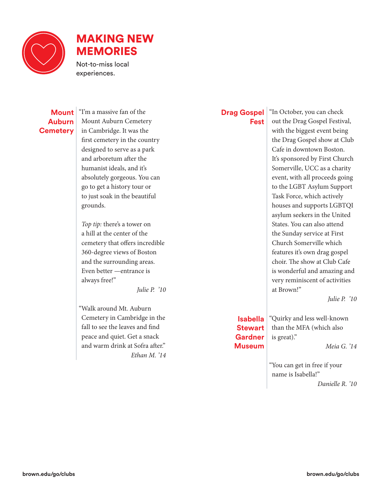

## MAKING NEW MEMORIES

Not-to-miss local experiences.

#### **Mount Auburn Cemetery**

"I'm a massive fan of the Mount Auburn Cemetery in Cambridge. It was the first cemetery in the country designed to serve as a park and arboretum after the humanist ideals, and it's absolutely gorgeous. You can go to get a history tour or to just soak in the beautiful grounds.

*Top tip:* there's a tower on a hill at the center of the cemetery that offers incredible 360-degree views of Boston and the surrounding areas. Even better —entrance is always free!"

*Julie P. '10*

"Walk around Mt. Auburn Cemetery in Cambridge in the fall to see the leaves and find peace and quiet. Get a snack and warm drink at Sofra after." *Ethan M. '14*

#### **Drag Gospel Fest**

"In October, you can check out the Drag Gospel Festival, with the biggest event being the Drag Gospel show at Club Cafe in downtown Boston. It's sponsored by First Church Somerville, UCC as a charity event, with all proceeds going to the LGBT Asylum Support Task Force, which actively houses and supports LGBTQI asylum seekers in the United States. You can also attend the Sunday service at First Church Somerville which features it's own drag gospel choir. The show at Club Cafe is wonderful and amazing and very reminiscent of activities at Brown!"

*Julie P. '10*

#### **Isabella Stewart Gardner Museum**

*Meia G. '14*

"You can get in free if your name is Isabella!"

is great)."

"Quirky and less well-known than the MFA (which also

*Danielle R. '10*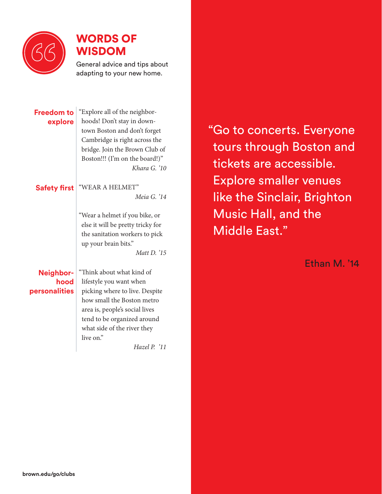

### WORDS OF WISDOM

General advice and tips about adapting to your new home.

**Freedom to explore** "Explore all of the neighborhoods! Don't stay in downtown Boston and don't forget Cambridge is right across the bridge. Join the Brown Club of Boston!!! (I'm on the board!)" *Khara G. '10*

### **Safety first** "WEAR A HELMET" *Meia G. '14*

"Wear a helmet if you bike, or else it will be pretty tricky for the sanitation workers to pick up your brain bits."

*Matt D. '15*

#### **Neighborhood personalities**

"Think about what kind of lifestyle you want when picking where to live. Despite how small the Boston metro area is, people's social lives tend to be organized around what side of the river they live on."

*Hazel P. '11*

"Go to concerts. Everyone tours through Boston and tickets are accessible. Explore smaller venues like the Sinclair, Brighton Music Hall, and the Middle East."

Ethan M. '14